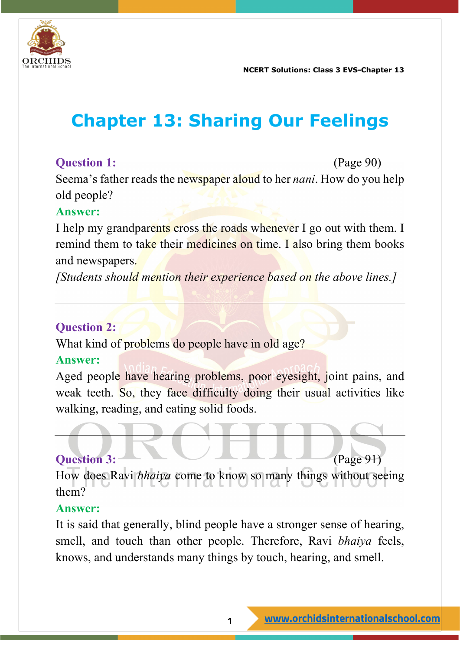

**NCERT Solutions: Class 3 EVS-Chapter 13**

# **Chapter 13: Sharing Our Feelings**

#### **Question 1:** (Page 90)

Seema's father reads the newspaper aloud to her *nani*. How do you help old people?

#### **Answer:**

I help my grandparents cross the roads whenever I go out with them. I remind them to take their medicines on time. I also bring them books and newspapers.

*[Students should mention their experience based on the above lines.]*

#### **Question 2:**

What kind of problems do people have in old age?

#### **Answer:**

Aged people have hearing problems, poor eyesight, joint pains, and weak teeth. So, they face difficulty doing their usual activities like walking, reading, and eating solid foods.

#### **Question 3:** (Page 91)

How does Ravi *bhaiya* come to know so many things without seeing them?

#### **Answer:**

It is said that generally, blind people have a stronger sense of hearing, smell, and touch than other people. Therefore, Ravi *bhaiya* feels, knows, and understands many things by touch, hearing, and smell.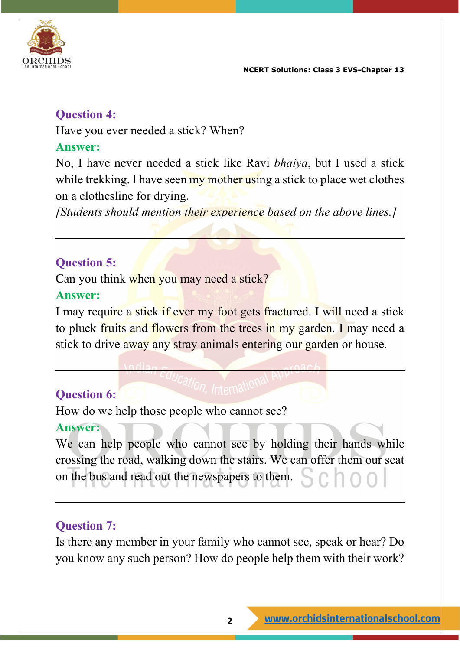



#### **Question 4:**

Have you ever needed a stick? When?

#### **Answer:**

No, I have never needed a stick like Ravi *bhaiya*, but I used a stick while trekking. I have seen my mother using a stick to place wet clothes on a clothesline for drying.

*[Students should mention their experience based on the above lines.]*

# **Question 5:**

Can you think when you may need a stick?

#### **Answer:**

I may require a stick if ever my foot gets fractured. I will need a stick to pluck fruits and flowers from the trees in my garden. I may need a stick to drive away any stray animals entering our garden or house.

# **Question 6:**

How do we help those people who cannot see?

#### **Answer:**

We can help people who cannot see by holding their hands while crossing the road, walking down the stairs. We can offer them our seat on the bus and read out the newspapers to them.

# **Question 7:**

Is there any member in your family who cannot see, speak or hear? Do you know any such person? How do people help them with their work?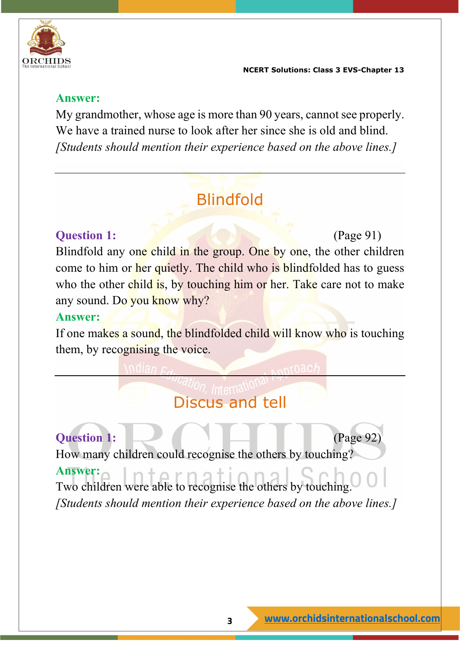

#### **Answer:**

My grandmother, whose age is more than 90 years, cannot see properly. We have a trained nurse to look after her since she is old and blind. *[Students should mention their experience based on the above lines.]*

# Blindfold

### **Question 1:** (Page 91)

Blindfold any one child in the group. One by one, the other children come to him or her quietly. The child who is blindfolded has to guess who the other child is, by touching him or her. Take care not to make any sound. Do you know why?

#### **Answer:**

If one makes a sound, the blindfolded child will know who is touching them, by recognising the voice.

# Discus and tell

# **Question 1:** (Page 92)

How many children could recognise the others by touching?

#### **Answer:**

Two children were able to recognise the others by touching. *[Students should mention their experience based on the above lines.]*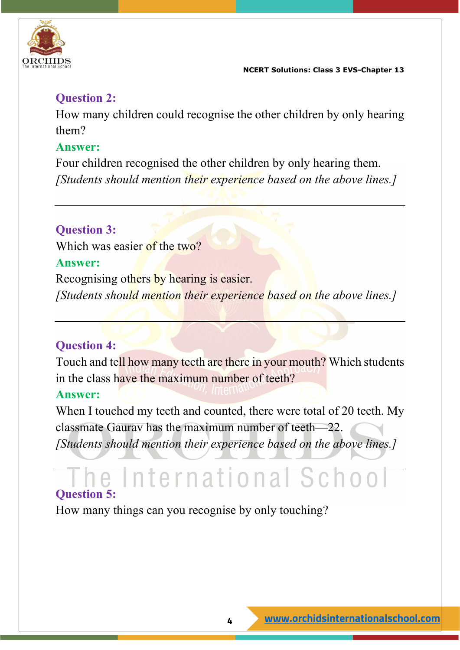

# **Question 2:**

How many children could recognise the other children by only hearing them?

#### **Answer:**

Four children recognised the other children by only hearing them. *[Students should mention their experience based on the above lines.]*

# **Question 3:**

Which was easier of the two?

#### **Answer:**

Recognising others by hearing is easier. *[Students should mention their experience based on the above lines.]*

# **Question 4:**

Touch and tell how many teeth are there in your mouth? Which students in the class have the maximum number of teeth?

#### **Answer:**

When I touched my teeth and counted, there were total of 20 teeth. My classmate Gaurav has the maximum number of teeth—22.

*[Students should mention their experience based on the above lines.]*

# **Question 5:**

How many things can you recognise by only touching?